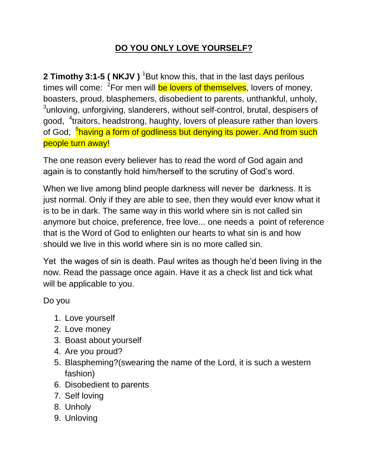## **DO YOU ONLY LOVE YOURSELF?**

**2 Timothy 3:1-5 ( NKJV )** <sup>1</sup>But know this, that in the last days perilous times will come: <sup>2</sup>For men will <mark>be lovers of themselves</mark>, lovers of money, boasters, proud, blasphemers, disobedient to parents, unthankful, unholy,  $3$ unloving, unforgiving, slanderers, without self-control, brutal, despisers of good, <sup>4</sup>traitors, headstrong, haughty, lovers of pleasure rather than lovers of God, <sup>5</sup>having a form of godliness but denying its power. And from such people turn away!

The one reason every believer has to read the word of God again and again is to constantly hold him/herself to the scrutiny of God's word.

When we live among blind people darkness will never be darkness. It is just normal. Only if they are able to see, then they would ever know what it is to be in dark. The same way in this world where sin is not called sin anymore but choice, preference, free love... one needs a point of reference that is the Word of God to enlighten our hearts to what sin is and how should we live in this world where sin is no more called sin.

Yet the wages of sin is death. Paul writes as though he'd been living in the now. Read the passage once again. Have it as a check list and tick what will be applicable to you.

Do you

- 1. Love yourself
- 2. Love money
- 3. Boast about yourself
- 4. Are you proud?
- 5. Blaspheming?(swearing the name of the Lord, it is such a western fashion)
- 6. Disobedient to parents
- 7. Self loving
- 8. Unholy
- 9. Unloving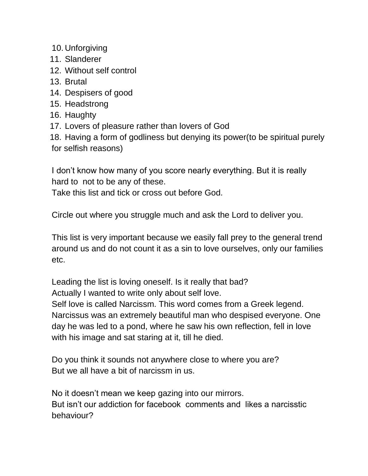- 10. Unforgiving
- 11. Slanderer
- 12. Without self control
- 13. Brutal
- 14. Despisers of good
- 15. Headstrong
- 16. Haughty
- 17. Lovers of pleasure rather than lovers of God

18. Having a form of godliness but denying its power(to be spiritual purely for selfish reasons)

I don't know how many of you score nearly everything. But it is really hard to not to be any of these.

Take this list and tick or cross out before God.

Circle out where you struggle much and ask the Lord to deliver you.

This list is very important because we easily fall prey to the general trend around us and do not count it as a sin to love ourselves, only our families etc.

Leading the list is loving oneself. Is it really that bad?

Actually I wanted to write only about self love.

Self love is called Narcissm. This word comes from a Greek legend. Narcissus was an extremely beautiful man who despised everyone. One day he was led to a pond, where he saw his own reflection, fell in love with his image and sat staring at it, till he died.

Do you think it sounds not anywhere close to where you are? But we all have a bit of narcissm in us.

No it doesn't mean we keep gazing into our mirrors. But isn't our addiction for facebook comments and likes a narcisstic behaviour?